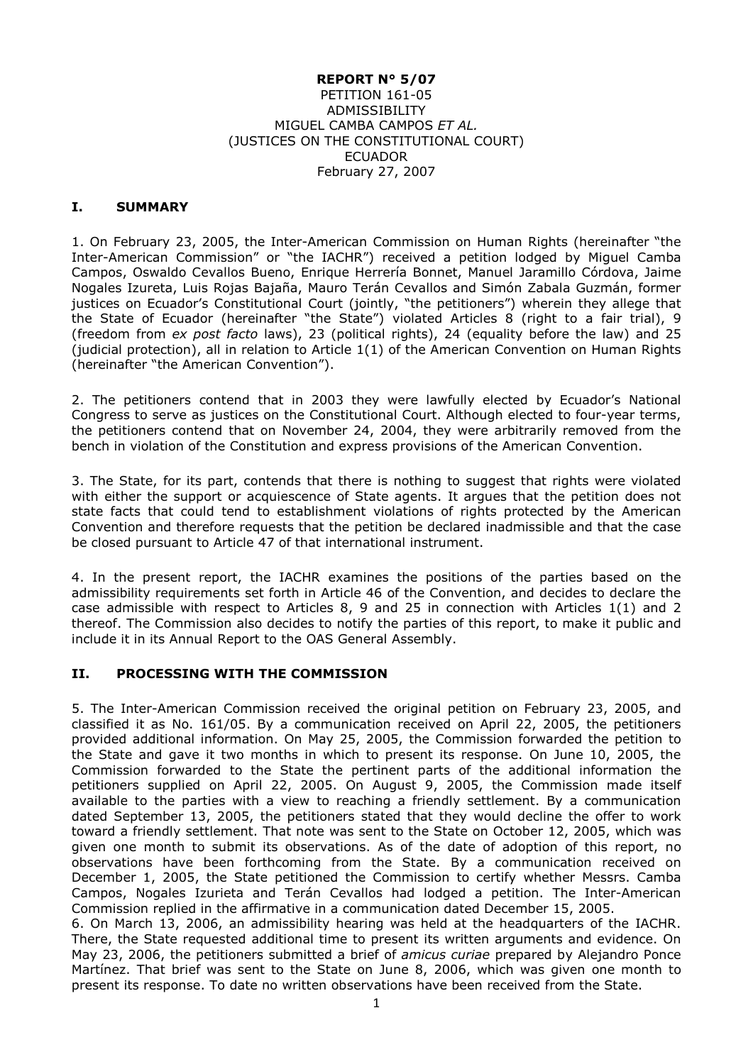#### **REPORT N° 5/07** PETITION 161-05 ADMISSIBILITY MIGUEL CAMBA CAMPOS *ET AL.* (JUSTICES ON THE CONSTITUTIONAL COURT) ECUADOR February 27, 2007

### **I. SUMMARY**

1. On February 23, 2005, the Inter-American Commission on Human Rights (hereinafter "the Inter-American Commission" or "the IACHR") received a petition lodged by Miguel Camba Campos, Oswaldo Cevallos Bueno, Enrique Herrería Bonnet, Manuel Jaramillo Córdova, Jaime Nogales Izureta, Luis Rojas Bajaña, Mauro Terán Cevallos and Simón Zabala Guzmán, former justices on Ecuador's Constitutional Court (jointly, "the petitioners") wherein they allege that the State of Ecuador (hereinafter "the State") violated Articles 8 (right to a fair trial), 9 (freedom from *ex post facto* laws), 23 (political rights), 24 (equality before the law) and 25 (judicial protection), all in relation to Article 1(1) of the American Convention on Human Rights (hereinafter "the American Convention").

2. The petitioners contend that in 2003 they were lawfully elected by Ecuador's National Congress to serve as justices on the Constitutional Court. Although elected to four-year terms, the petitioners contend that on November 24, 2004, they were arbitrarily removed from the bench in violation of the Constitution and express provisions of the American Convention.

3. The State, for its part, contends that there is nothing to suggest that rights were violated with either the support or acquiescence of State agents. It argues that the petition does not state facts that could tend to establishment violations of rights protected by the American Convention and therefore requests that the petition be declared inadmissible and that the case be closed pursuant to Article 47 of that international instrument.

4. In the present report, the IACHR examines the positions of the parties based on the admissibility requirements set forth in Article 46 of the Convention, and decides to declare the case admissible with respect to Articles 8, 9 and 25 in connection with Articles 1(1) and 2 thereof. The Commission also decides to notify the parties of this report, to make it public and include it in its Annual Report to the OAS General Assembly.

## **II. PROCESSING WITH THE COMMISSION**

5. The Inter-American Commission received the original petition on February 23, 2005, and classified it as No. 161/05. By a communication received on April 22, 2005, the petitioners provided additional information. On May 25, 2005, the Commission forwarded the petition to the State and gave it two months in which to present its response. On June 10, 2005, the Commission forwarded to the State the pertinent parts of the additional information the petitioners supplied on April 22, 2005. On August 9, 2005, the Commission made itself available to the parties with a view to reaching a friendly settlement. By a communication dated September 13, 2005, the petitioners stated that they would decline the offer to work toward a friendly settlement. That note was sent to the State on October 12, 2005, which was given one month to submit its observations. As of the date of adoption of this report, no observations have been forthcoming from the State. By a communication received on December 1, 2005, the State petitioned the Commission to certify whether Messrs. Camba Campos, Nogales Izurieta and Terán Cevallos had lodged a petition. The Inter-American Commission replied in the affirmative in a communication dated December 15, 2005.

6. On March 13, 2006, an admissibility hearing was held at the headquarters of the IACHR. There, the State requested additional time to present its written arguments and evidence. On May 23, 2006, the petitioners submitted a brief of *amicus curiae* prepared by Alejandro Ponce Martínez. That brief was sent to the State on June 8, 2006, which was given one month to present its response. To date no written observations have been received from the State.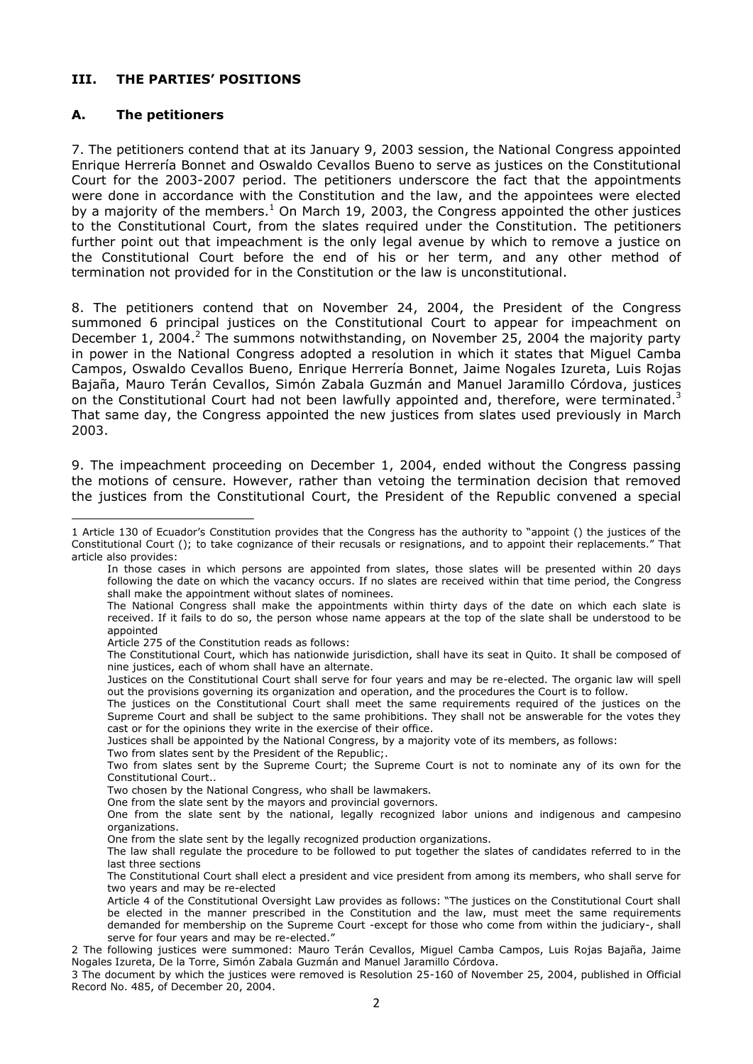## **III. THE PARTIES' POSITIONS**

### **A. The petitioners**

-

7. The petitioners contend that at its January 9, 2003 session, the National Congress appointed Enrique Herrería Bonnet and Oswaldo Cevallos Bueno to serve as justices on the Constitutional Court for the 2003-2007 period. The petitioners underscore the fact that the appointments were done in accordance with the Constitution and the law, and the appointees were elected by a majority of the members.<sup>1</sup> On March 19, 2003, the Congress appointed the other justices to the Constitutional Court, from the slates required under the Constitution. The petitioners further point out that impeachment is the only legal avenue by which to remove a justice on the Constitutional Court before the end of his or her term, and any other method of termination not provided for in the Constitution or the law is unconstitutional.

8. The petitioners contend that on November 24, 2004, the President of the Congress summoned 6 principal justices on the Constitutional Court to appear for impeachment on December 1, 2004.<sup>2</sup> The summons notwithstanding, on November 25, 2004 the majority party in power in the National Congress adopted a resolution in which it states that Miguel Camba Campos, Oswaldo Cevallos Bueno, Enrique Herrería Bonnet, Jaime Nogales Izureta, Luis Rojas Bajaña, Mauro Terán Cevallos, Simón Zabala Guzmán and Manuel Jaramillo Córdova, justices on the Constitutional Court had not been lawfully appointed and, therefore, were terminated.<sup>3</sup> That same day, the Congress appointed the new justices from slates used previously in March 2003.

9. The impeachment proceeding on December 1, 2004, ended without the Congress passing the motions of censure. However, rather than vetoing the termination decision that removed the justices from the Constitutional Court, the President of the Republic convened a special

Article 275 of the Constitution reads as follows:

<sup>1</sup> Article 130 of Ecuador's Constitution provides that the Congress has the authority to "appoint () the justices of the Constitutional Court (); to take cognizance of their recusals or resignations, and to appoint their replacements." That article also provides:

In those cases in which persons are appointed from slates, those slates will be presented within 20 days following the date on which the vacancy occurs. If no slates are received within that time period, the Congress shall make the appointment without slates of nominees.

The National Congress shall make the appointments within thirty days of the date on which each slate is received. If it fails to do so, the person whose name appears at the top of the slate shall be understood to be appointed

The Constitutional Court, which has nationwide jurisdiction, shall have its seat in Quito. It shall be composed of nine justices, each of whom shall have an alternate.

Justices on the Constitutional Court shall serve for four years and may be re-elected. The organic law will spell out the provisions governing its organization and operation, and the procedures the Court is to follow.

The justices on the Constitutional Court shall meet the same requirements required of the justices on the Supreme Court and shall be subject to the same prohibitions. They shall not be answerable for the votes they cast or for the opinions they write in the exercise of their office.

Justices shall be appointed by the National Congress, by a majority vote of its members, as follows:

Two from slates sent by the President of the Republic;.

Two from slates sent by the Supreme Court; the Supreme Court is not to nominate any of its own for the Constitutional Court..

Two chosen by the National Congress, who shall be lawmakers.

One from the slate sent by the mayors and provincial governors.

One from the slate sent by the national, legally recognized labor unions and indigenous and campesino organizations.

One from the slate sent by the legally recognized production organizations.

The law shall regulate the procedure to be followed to put together the slates of candidates referred to in the last three sections

The Constitutional Court shall elect a president and vice president from among its members, who shall serve for two years and may be re-elected

Article 4 of the Constitutional Oversight Law provides as follows: "The justices on the Constitutional Court shall be elected in the manner prescribed in the Constitution and the law, must meet the same requirements demanded for membership on the Supreme Court -except for those who come from within the judiciary-, shall serve for four years and may be re-elected."

<sup>2</sup> The following justices were summoned: Mauro Terán Cevallos, Miguel Camba Campos, Luis Rojas Bajaña, Jaime Nogales Izureta, De la Torre, Simón Zabala Guzmán and Manuel Jaramillo Córdova.

<sup>3</sup> The document by which the justices were removed is Resolution 25-160 of November 25, 2004, published in Official Record No. 485, of December 20, 2004.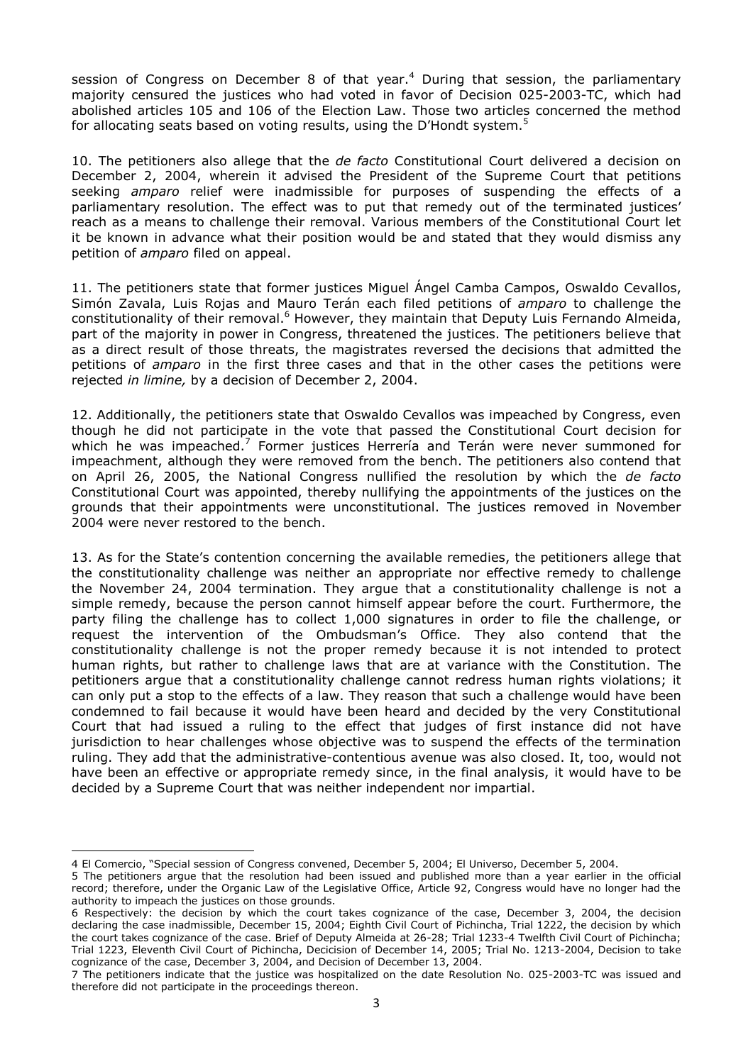session of Congress on December 8 of that year.<sup>4</sup> During that session, the parliamentary majority censured the justices who had voted in favor of Decision 025-2003-TC, which had abolished articles 105 and 106 of the Election Law. Those two articles concerned the method for allocating seats based on voting results, using the D'Hondt system.<sup>5</sup>

10. The petitioners also allege that the *de facto* Constitutional Court delivered a decision on December 2, 2004, wherein it advised the President of the Supreme Court that petitions seeking *amparo* relief were inadmissible for purposes of suspending the effects of a parliamentary resolution. The effect was to put that remedy out of the terminated justices' reach as a means to challenge their removal. Various members of the Constitutional Court let it be known in advance what their position would be and stated that they would dismiss any petition of *amparo* filed on appeal.

11. The petitioners state that former justices Miguel Ángel Camba Campos, Oswaldo Cevallos, Simón Zavala, Luis Rojas and Mauro Terán each filed petitions of *amparo* to challenge the constitutionality of their removal.<sup>6</sup> However, they maintain that Deputy Luis Fernando Almeida, part of the majority in power in Congress, threatened the justices. The petitioners believe that as a direct result of those threats, the magistrates reversed the decisions that admitted the petitions of *amparo* in the first three cases and that in the other cases the petitions were rejected *in limine,* by a decision of December 2, 2004.

12. Additionally, the petitioners state that Oswaldo Cevallos was impeached by Congress, even though he did not participate in the vote that passed the Constitutional Court decision for which he was impeached.<sup>7</sup> Former justices Herrería and Terán were never summoned for impeachment, although they were removed from the bench. The petitioners also contend that on April 26, 2005, the National Congress nullified the resolution by which the *de facto* Constitutional Court was appointed, thereby nullifying the appointments of the justices on the grounds that their appointments were unconstitutional. The justices removed in November 2004 were never restored to the bench.

13. As for the State's contention concerning the available remedies, the petitioners allege that the constitutionality challenge was neither an appropriate nor effective remedy to challenge the November 24, 2004 termination. They argue that a constitutionality challenge is not a simple remedy, because the person cannot himself appear before the court. Furthermore, the party filing the challenge has to collect 1,000 signatures in order to file the challenge, or request the intervention of the Ombudsman's Office. They also contend that the constitutionality challenge is not the proper remedy because it is not intended to protect human rights, but rather to challenge laws that are at variance with the Constitution. The petitioners argue that a constitutionality challenge cannot redress human rights violations; it can only put a stop to the effects of a law. They reason that such a challenge would have been condemned to fail because it would have been heard and decided by the very Constitutional Court that had issued a ruling to the effect that judges of first instance did not have jurisdiction to hear challenges whose objective was to suspend the effects of the termination ruling. They add that the administrative-contentious avenue was also closed. It, too, would not have been an effective or appropriate remedy since, in the final analysis, it would have to be decided by a Supreme Court that was neither independent nor impartial.

<sup>4</sup> El Comercio, "Special session of Congress convened, December 5, 2004; El Universo, December 5, 2004.

<sup>5</sup> The petitioners argue that the resolution had been issued and published more than a year earlier in the official record; therefore, under the Organic Law of the Legislative Office, Article 92, Congress would have no longer had the authority to impeach the justices on those grounds.

<sup>6</sup> Respectively: the decision by which the court takes cognizance of the case, December 3, 2004, the decision declaring the case inadmissible, December 15, 2004; Eighth Civil Court of Pichincha, Trial 1222, the decision by which the court takes cognizance of the case. Brief of Deputy Almeida at 26-28; Trial 1233-4 Twelfth Civil Court of Pichincha; Trial 1223, Eleventh Civil Court of Pichincha, Decicision of December 14, 2005; Trial No. 1213-2004, Decision to take cognizance of the case, December 3, 2004, and Decision of December 13, 2004.

<sup>7</sup> The petitioners indicate that the justice was hospitalized on the date Resolution No. 025-2003-TC was issued and therefore did not participate in the proceedings thereon.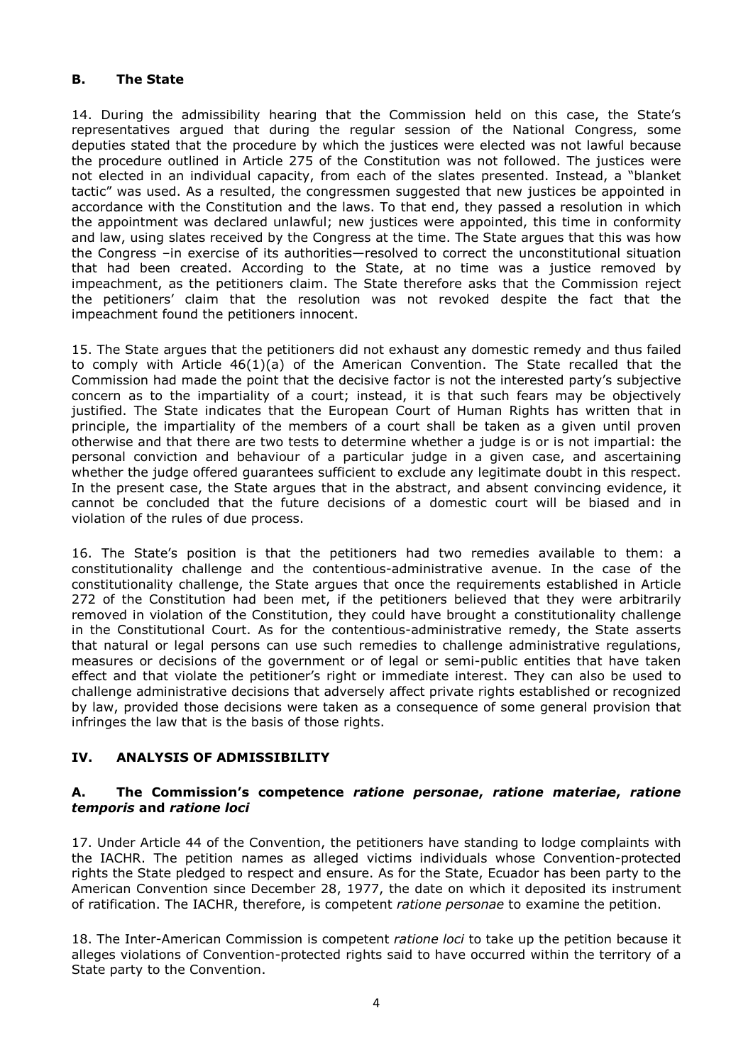# **B. The State**

14. During the admissibility hearing that the Commission held on this case, the State's representatives argued that during the regular session of the National Congress, some deputies stated that the procedure by which the justices were elected was not lawful because the procedure outlined in Article 275 of the Constitution was not followed. The justices were not elected in an individual capacity, from each of the slates presented. Instead, a "blanket tactic" was used. As a resulted, the congressmen suggested that new justices be appointed in accordance with the Constitution and the laws. To that end, they passed a resolution in which the appointment was declared unlawful; new justices were appointed, this time in conformity and law, using slates received by the Congress at the time. The State argues that this was how the Congress –in exercise of its authorities—resolved to correct the unconstitutional situation that had been created. According to the State, at no time was a justice removed by impeachment, as the petitioners claim. The State therefore asks that the Commission reject the petitioners' claim that the resolution was not revoked despite the fact that the impeachment found the petitioners innocent.

15. The State argues that the petitioners did not exhaust any domestic remedy and thus failed to comply with Article 46(1)(a) of the American Convention. The State recalled that the Commission had made the point that the decisive factor is not the interested party's subjective concern as to the impartiality of a court; instead, it is that such fears may be objectively justified. The State indicates that the European Court of Human Rights has written that in principle, the impartiality of the members of a court shall be taken as a given until proven otherwise and that there are two tests to determine whether a judge is or is not impartial: the personal conviction and behaviour of a particular judge in a given case, and ascertaining whether the judge offered guarantees sufficient to exclude any legitimate doubt in this respect. In the present case, the State argues that in the abstract, and absent convincing evidence, it cannot be concluded that the future decisions of a domestic court will be biased and in violation of the rules of due process.

16. The State's position is that the petitioners had two remedies available to them: a constitutionality challenge and the contentious-administrative avenue. In the case of the constitutionality challenge, the State argues that once the requirements established in Article 272 of the Constitution had been met, if the petitioners believed that they were arbitrarily removed in violation of the Constitution, they could have brought a constitutionality challenge in the Constitutional Court. As for the contentious-administrative remedy, the State asserts that natural or legal persons can use such remedies to challenge administrative regulations, measures or decisions of the government or of legal or semi-public entities that have taken effect and that violate the petitioner's right or immediate interest. They can also be used to challenge administrative decisions that adversely affect private rights established or recognized by law, provided those decisions were taken as a consequence of some general provision that infringes the law that is the basis of those rights.

# **IV. ANALYSIS OF ADMISSIBILITY**

#### **A. The Commission's competence** *ratione personae***,** *ratione materiae***,** *ratione temporis* **and** *ratione loci*

17. Under Article 44 of the Convention, the petitioners have standing to lodge complaints with the IACHR. The petition names as alleged victims individuals whose Convention-protected rights the State pledged to respect and ensure. As for the State, Ecuador has been party to the American Convention since December 28, 1977, the date on which it deposited its instrument of ratification. The IACHR, therefore, is competent *ratione personae* to examine the petition.

18. The Inter-American Commission is competent *ratione loci* to take up the petition because it alleges violations of Convention-protected rights said to have occurred within the territory of a State party to the Convention.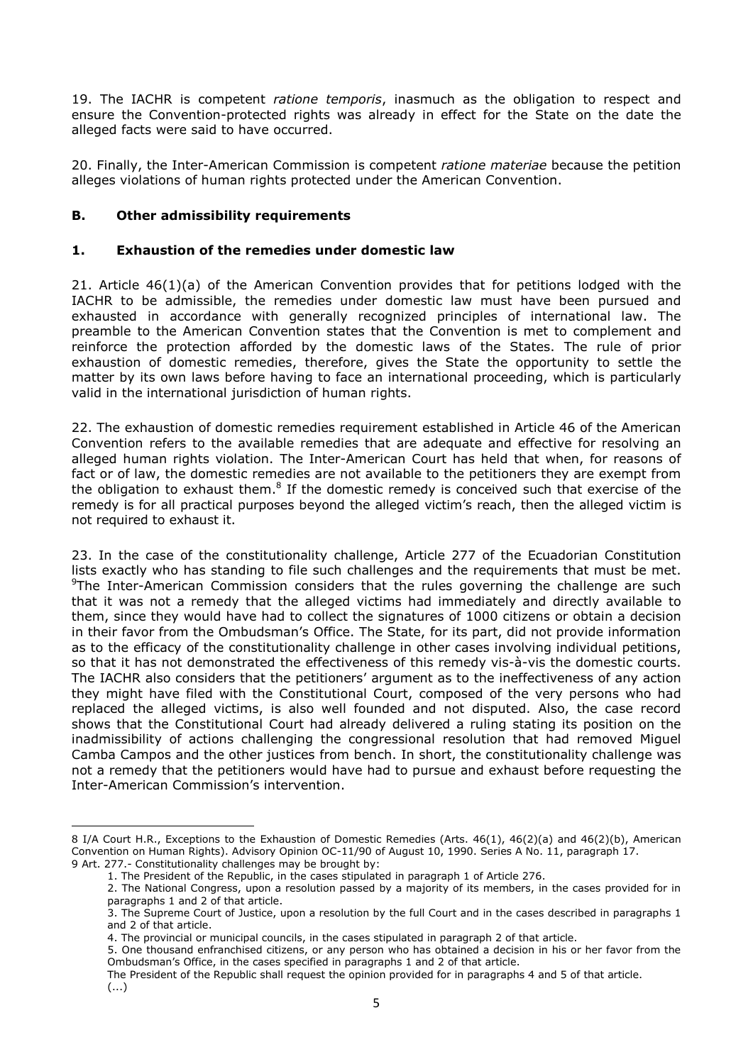19. The IACHR is competent *ratione temporis*, inasmuch as the obligation to respect and ensure the Convention-protected rights was already in effect for the State on the date the alleged facts were said to have occurred.

20. Finally, the Inter-American Commission is competent *ratione materiae* because the petition alleges violations of human rights protected under the American Convention.

## **B. Other admissibility requirements**

### **1. Exhaustion of the remedies under domestic law**

21. Article 46(1)(a) of the American Convention provides that for petitions lodged with the IACHR to be admissible, the remedies under domestic law must have been pursued and exhausted in accordance with generally recognized principles of international law. The preamble to the American Convention states that the Convention is met to complement and reinforce the protection afforded by the domestic laws of the States. The rule of prior exhaustion of domestic remedies, therefore, gives the State the opportunity to settle the matter by its own laws before having to face an international proceeding, which is particularly valid in the international jurisdiction of human rights.

22. The exhaustion of domestic remedies requirement established in Article 46 of the American Convention refers to the available remedies that are adequate and effective for resolving an alleged human rights violation. The Inter-American Court has held that when, for reasons of fact or of law, the domestic remedies are not available to the petitioners they are exempt from the obligation to exhaust them.<sup>8</sup> If the domestic remedy is conceived such that exercise of the remedy is for all practical purposes beyond the alleged victim's reach, then the alleged victim is not required to exhaust it.

23. In the case of the constitutionality challenge, Article 277 of the Ecuadorian Constitution lists exactly who has standing to file such challenges and the requirements that must be met.  $9$ The Inter-American Commission considers that the rules governing the challenge are such that it was not a remedy that the alleged victims had immediately and directly available to them, since they would have had to collect the signatures of 1000 citizens or obtain a decision in their favor from the Ombudsman's Office. The State, for its part, did not provide information as to the efficacy of the constitutionality challenge in other cases involving individual petitions, so that it has not demonstrated the effectiveness of this remedy vis-à-vis the domestic courts. The IACHR also considers that the petitioners' argument as to the ineffectiveness of any action they might have filed with the Constitutional Court, composed of the very persons who had replaced the alleged victims, is also well founded and not disputed. Also, the case record shows that the Constitutional Court had already delivered a ruling stating its position on the inadmissibility of actions challenging the congressional resolution that had removed Miguel Camba Campos and the other justices from bench. In short, the constitutionality challenge was not a remedy that the petitioners would have had to pursue and exhaust before requesting the Inter-American Commission's intervention.

<sup>8</sup> I/A Court H.R., Exceptions to the Exhaustion of Domestic Remedies (Arts. 46(1), 46(2)(a) and 46(2)(b), American Convention on Human Rights). Advisory Opinion OC-11/90 of August 10, 1990. Series A No. 11, paragraph 17. 9 Art. 277.- Constitutionality challenges may be brought by:

<sup>1.</sup> The President of the Republic, in the cases stipulated in paragraph 1 of Article 276.

<sup>2.</sup> The National Congress, upon a resolution passed by a majority of its members, in the cases provided for in paragraphs 1 and 2 of that article.

<sup>3.</sup> The Supreme Court of Justice, upon a resolution by the full Court and in the cases described in paragraphs 1 and 2 of that article.

<sup>4.</sup> The provincial or municipal councils, in the cases stipulated in paragraph 2 of that article.

<sup>5.</sup> One thousand enfranchised citizens, or any person who has obtained a decision in his or her favor from the Ombudsman's Office, in the cases specified in paragraphs 1 and 2 of that article.

The President of the Republic shall request the opinion provided for in paragraphs 4 and 5 of that article. (...)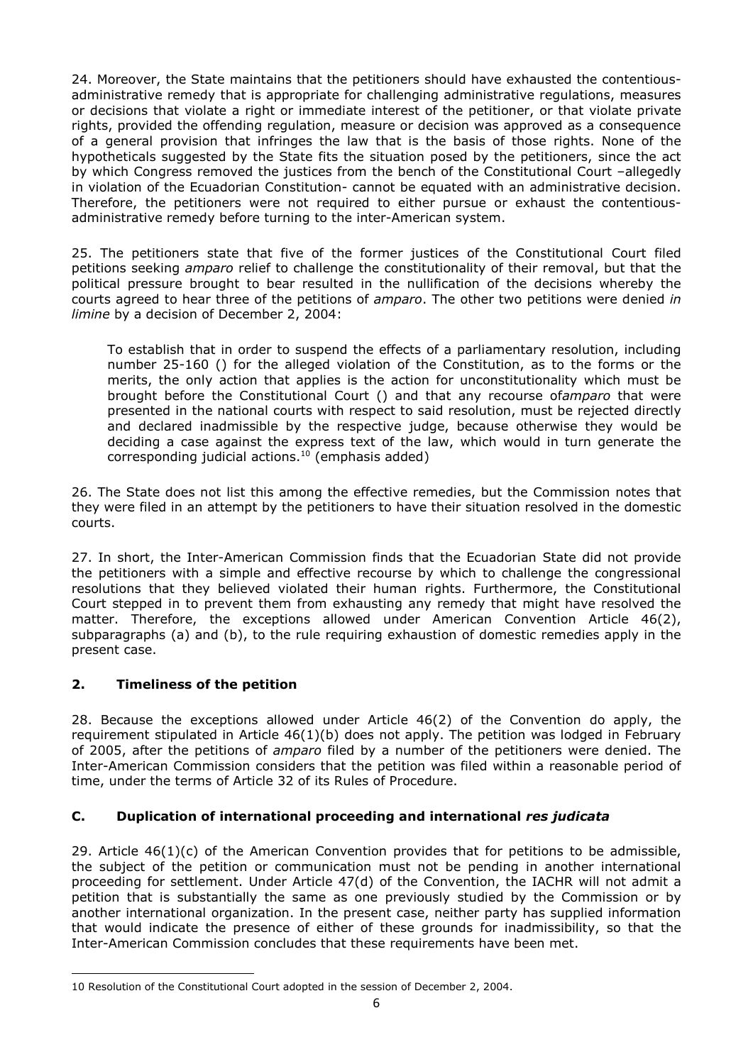24. Moreover, the State maintains that the petitioners should have exhausted the contentiousadministrative remedy that is appropriate for challenging administrative regulations, measures or decisions that violate a right or immediate interest of the petitioner, or that violate private rights, provided the offending regulation, measure or decision was approved as a consequence of a general provision that infringes the law that is the basis of those rights. None of the hypotheticals suggested by the State fits the situation posed by the petitioners, since the act by which Congress removed the justices from the bench of the Constitutional Court –allegedly in violation of the Ecuadorian Constitution- cannot be equated with an administrative decision. Therefore, the petitioners were not required to either pursue or exhaust the contentiousadministrative remedy before turning to the inter-American system.

25. The petitioners state that five of the former justices of the Constitutional Court filed petitions seeking *amparo* relief to challenge the constitutionality of their removal, but that the political pressure brought to bear resulted in the nullification of the decisions whereby the courts agreed to hear three of the petitions of *amparo*. The other two petitions were denied *in limine* by a decision of December 2, 2004:

To establish that in order to suspend the effects of a parliamentary resolution, including number 25-160 () for the alleged violation of the Constitution, as to the forms or the merits, the only action that applies is the action for unconstitutionality which must be brought before the Constitutional Court () and that any recourse of*amparo* that were presented in the national courts with respect to said resolution, must be rejected directly and declared inadmissible by the respective judge, because otherwise they would be deciding a case against the express text of the law, which would in turn generate the corresponding judicial actions. $10$  (emphasis added)

26. The State does not list this among the effective remedies, but the Commission notes that they were filed in an attempt by the petitioners to have their situation resolved in the domestic courts.

27. In short, the Inter-American Commission finds that the Ecuadorian State did not provide the petitioners with a simple and effective recourse by which to challenge the congressional resolutions that they believed violated their human rights. Furthermore, the Constitutional Court stepped in to prevent them from exhausting any remedy that might have resolved the matter. Therefore, the exceptions allowed under American Convention Article 46(2), subparagraphs (a) and (b), to the rule requiring exhaustion of domestic remedies apply in the present case.

# **2. Timeliness of the petition**

-

28. Because the exceptions allowed under Article 46(2) of the Convention do apply, the requirement stipulated in Article 46(1)(b) does not apply. The petition was lodged in February of 2005, after the petitions of *amparo* filed by a number of the petitioners were denied. The Inter-American Commission considers that the petition was filed within a reasonable period of time, under the terms of Article 32 of its Rules of Procedure.

# **C. Duplication of international proceeding and international** *res judicata*

29. Article 46(1)(c) of the American Convention provides that for petitions to be admissible, the subject of the petition or communication must not be pending in another international proceeding for settlement. Under Article 47(d) of the Convention, the IACHR will not admit a petition that is substantially the same as one previously studied by the Commission or by another international organization. In the present case, neither party has supplied information that would indicate the presence of either of these grounds for inadmissibility, so that the Inter-American Commission concludes that these requirements have been met.

<sup>10</sup> Resolution of the Constitutional Court adopted in the session of December 2, 2004.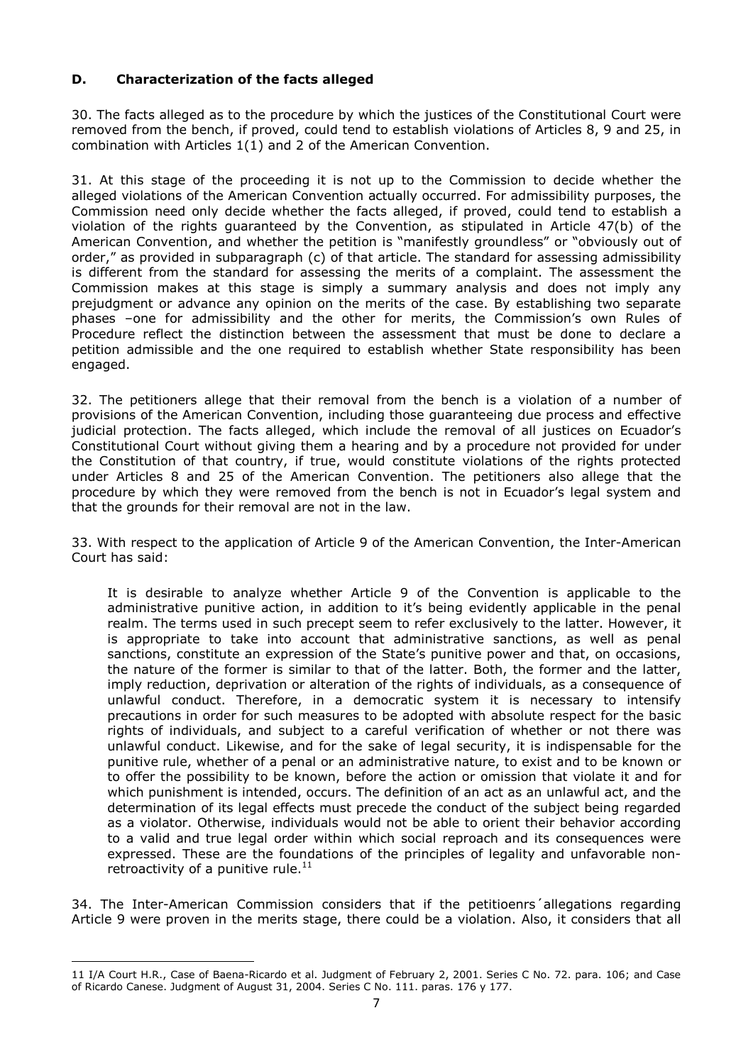## **D. Characterization of the facts alleged**

30. The facts alleged as to the procedure by which the justices of the Constitutional Court were removed from the bench, if proved, could tend to establish violations of Articles 8, 9 and 25, in combination with Articles 1(1) and 2 of the American Convention.

31. At this stage of the proceeding it is not up to the Commission to decide whether the alleged violations of the American Convention actually occurred. For admissibility purposes, the Commission need only decide whether the facts alleged, if proved, could tend to establish a violation of the rights guaranteed by the Convention, as stipulated in Article 47(b) of the American Convention, and whether the petition is "manifestly groundless" or "obviously out of order," as provided in subparagraph (c) of that article. The standard for assessing admissibility is different from the standard for assessing the merits of a complaint. The assessment the Commission makes at this stage is simply a summary analysis and does not imply any prejudgment or advance any opinion on the merits of the case. By establishing two separate phases –one for admissibility and the other for merits, the Commission's own Rules of Procedure reflect the distinction between the assessment that must be done to declare a petition admissible and the one required to establish whether State responsibility has been engaged.

32. The petitioners allege that their removal from the bench is a violation of a number of provisions of the American Convention, including those guaranteeing due process and effective judicial protection. The facts alleged, which include the removal of all justices on Ecuador's Constitutional Court without giving them a hearing and by a procedure not provided for under the Constitution of that country, if true, would constitute violations of the rights protected under Articles 8 and 25 of the American Convention. The petitioners also allege that the procedure by which they were removed from the bench is not in Ecuador's legal system and that the grounds for their removal are not in the law.

33. With respect to the application of Article 9 of the American Convention, the Inter-American Court has said:

It is desirable to analyze whether Article 9 of the Convention is applicable to the administrative punitive action, in addition to it's being evidently applicable in the penal realm. The terms used in such precept seem to refer exclusively to the latter. However, it is appropriate to take into account that administrative sanctions, as well as penal sanctions, constitute an expression of the State's punitive power and that, on occasions, the nature of the former is similar to that of the latter. Both, the former and the latter, imply reduction, deprivation or alteration of the rights of individuals, as a consequence of unlawful conduct. Therefore, in a democratic system it is necessary to intensify precautions in order for such measures to be adopted with absolute respect for the basic rights of individuals, and subject to a careful verification of whether or not there was unlawful conduct. Likewise, and for the sake of legal security, it is indispensable for the punitive rule, whether of a penal or an administrative nature, to exist and to be known or to offer the possibility to be known, before the action or omission that violate it and for which punishment is intended, occurs. The definition of an act as an unlawful act, and the determination of its legal effects must precede the conduct of the subject being regarded as a violator. Otherwise, individuals would not be able to orient their behavior according to a valid and true legal order within which social reproach and its consequences were expressed. These are the foundations of the principles of legality and unfavorable nonretroactivity of a punitive rule. $11$ 

34. The Inter-American Commission considers that if the petitioenrs´allegations regarding Article 9 were proven in the merits stage, there could be a violation. Also, it considers that all

<sup>11</sup> I/A Court H.R., Case of Baena-Ricardo et al. Judgment of February 2, 2001. Series C No. 72. para. 106; and Case of Ricardo Canese. Judgment of August 31, 2004. Series C No. 111. paras. 176 y 177.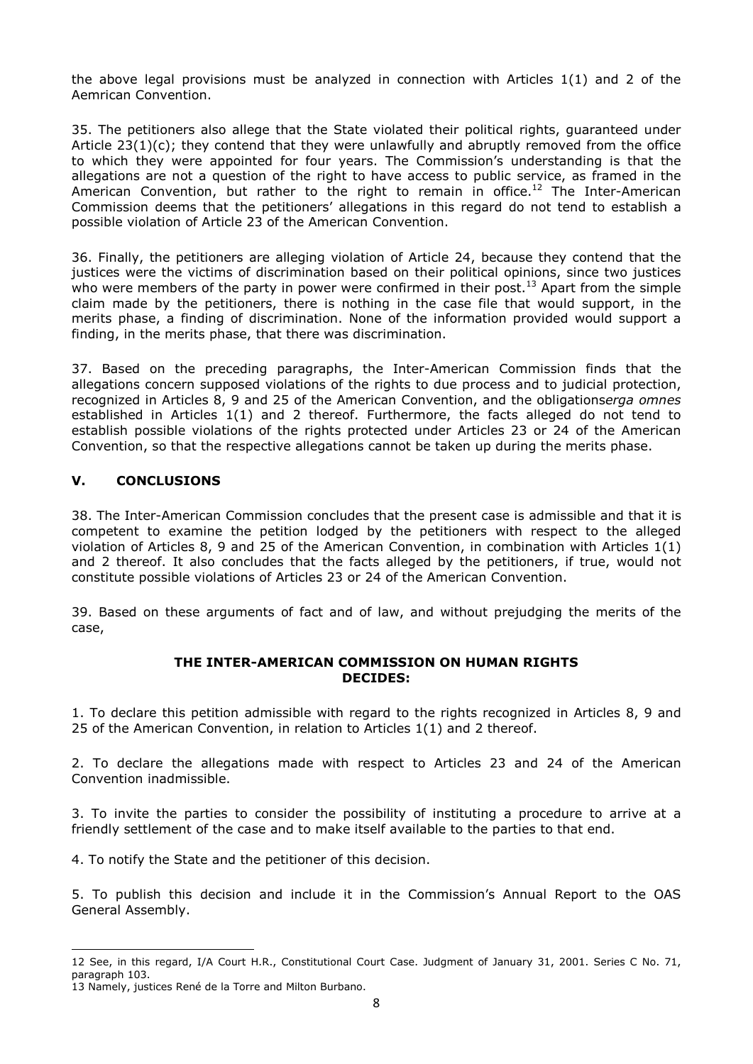the above legal provisions must be analyzed in connection with Articles  $1(1)$  and 2 of the Aemrican Convention.

35. The petitioners also allege that the State violated their political rights, guaranteed under Article  $23(1)(c)$ ; they contend that they were unlawfully and abruptly removed from the office to which they were appointed for four years. The Commission's understanding is that the allegations are not a question of the right to have access to public service, as framed in the American Convention, but rather to the right to remain in office.<sup>12</sup> The Inter-American Commission deems that the petitioners' allegations in this regard do not tend to establish a possible violation of Article 23 of the American Convention.

36. Finally, the petitioners are alleging violation of Article 24, because they contend that the justices were the victims of discrimination based on their political opinions, since two justices who were members of the party in power were confirmed in their post.<sup>13</sup> Apart from the simple claim made by the petitioners, there is nothing in the case file that would support, in the merits phase, a finding of discrimination. None of the information provided would support a finding, in the merits phase, that there was discrimination.

37. Based on the preceding paragraphs, the Inter-American Commission finds that the allegations concern supposed violations of the rights to due process and to judicial protection, recognized in Articles 8, 9 and 25 of the American Convention, and the obligations*erga omnes* established in Articles 1(1) and 2 thereof. Furthermore, the facts alleged do not tend to establish possible violations of the rights protected under Articles 23 or 24 of the American Convention, so that the respective allegations cannot be taken up during the merits phase.

### **V. CONCLUSIONS**

38. The Inter-American Commission concludes that the present case is admissible and that it is competent to examine the petition lodged by the petitioners with respect to the alleged violation of Articles 8, 9 and 25 of the American Convention, in combination with Articles 1(1) and 2 thereof. It also concludes that the facts alleged by the petitioners, if true, would not constitute possible violations of Articles 23 or 24 of the American Convention.

39. Based on these arguments of fact and of law, and without prejudging the merits of the case,

#### **THE INTER-AMERICAN COMMISSION ON HUMAN RIGHTS DECIDES:**

1. To declare this petition admissible with regard to the rights recognized in Articles 8, 9 and 25 of the American Convention, in relation to Articles 1(1) and 2 thereof.

2. To declare the allegations made with respect to Articles 23 and 24 of the American Convention inadmissible.

3. To invite the parties to consider the possibility of instituting a procedure to arrive at a friendly settlement of the case and to make itself available to the parties to that end.

4. To notify the State and the petitioner of this decision.

5. To publish this decision and include it in the Commission's Annual Report to the OAS General Assembly.

<sup>12</sup> See, in this regard, I/A Court H.R., Constitutional Court Case. Judgment of January 31, 2001. Series C No. 71, paragraph 103.

<sup>13</sup> Namely, justices René de la Torre and Milton Burbano.